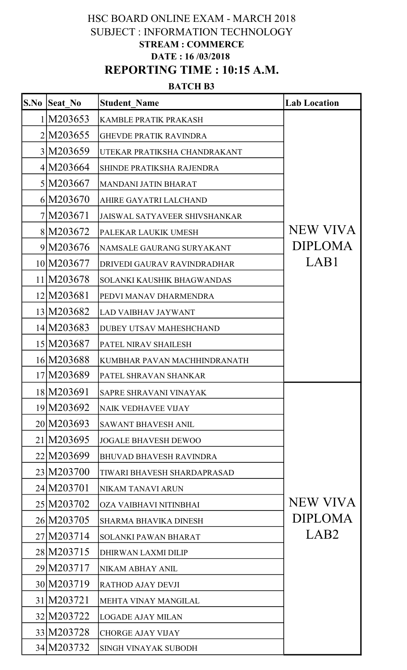## HSC BOARD ONLINE EXAM - MARCH 2018 SUBJECT : INFORMATION TECHNOLOGY STREAM : COMMERCE DATE : 16/03/2018 REPORTING TIME : 10:15 A.M.

## BATCH<sub>B3</sub>

| S.No | <b>Seat No</b> | <b>Student Name</b>                  | <b>Lab Location</b> |
|------|----------------|--------------------------------------|---------------------|
|      | 1 M203653      | <b>KAMBLE PRATIK PRAKASH</b>         |                     |
|      | 2M203655       | <b>GHEVDE PRATIK RAVINDRA</b>        |                     |
|      | 3 M203659      | UTEKAR PRATIKSHA CHANDRAKANT         |                     |
|      | 4 M203664      | <b>SHINDE PRATIKSHA RAJENDRA</b>     |                     |
|      | 5 M203667      | MANDANI JATIN BHARAT                 |                     |
|      | 6 M203670      | AHIRE GAYATRI LALCHAND               |                     |
|      | 7 M203671      | <b>JAISWAL SATYAVEER SHIVSHANKAR</b> |                     |
|      | 8 M203672      | PALEKAR LAUKIK UMESH                 | <b>NEW VIVA</b>     |
|      | 9M203676       | NAMSALE GAURANG SURYAKANT            | <b>DIPLOMA</b>      |
|      | 10 M203677     | DRIVEDI GAURAV RAVINDRADHAR          | LAB1                |
|      | 11 M203678     | <b>SOLANKI KAUSHIK BHAGWANDAS</b>    |                     |
|      | 12 M203681     | PEDVI MANAV DHARMENDRA               |                     |
|      | 13 M203682     | <b>LAD VAIBHAV JAYWANT</b>           |                     |
|      | 14 M203683     | <b>DUBEY UTSAV MAHESHCHAND</b>       |                     |
|      | 15 M203687     | PATEL NIRAV SHAILESH                 |                     |
|      | 16 M203688     | KUMBHAR PAVAN MACHHINDRANATH         |                     |
|      | 17 M203689     | PATEL SHRAVAN SHANKAR                |                     |
|      | 18 M203691     | <b>SAPRE SHRAVANI VINAYAK</b>        |                     |
|      | 19 M203692     | <b>NAIK VEDHAVEE VIJAY</b>           |                     |
|      | 20 M203693     | <b>SAWANT BHAVESH ANIL</b>           |                     |
|      | 21 M203695     | <b>JOGALE BHAVESH DEWOO</b>          |                     |
|      | 22 M203699     | <b>BHUVAD BHAVESH RAVINDRA</b>       |                     |
|      | 23 M203700     | TIWARI BHAVESH SHARDAPRASAD          |                     |
|      | 24 M203701     | NIKAM TANAVI ARUN                    |                     |
|      | 25 M203702     | OZA VAIBHAVI NITINBHAI               | <b>NEW VIVA</b>     |
|      | 26 M203705     | <b>SHARMA BHAVIKA DINESH</b>         | <b>DIPLOMA</b>      |
|      | 27 M203714     | <b>SOLANKI PAWAN BHARAT</b>          | LAB <sub>2</sub>    |
|      | 28 M 203715    | DHIRWAN LAXMI DILIP                  |                     |
|      | 29 M203717     | <b>NIKAM ABHAY ANIL</b>              |                     |
|      | 30 M203719     | <b>RATHOD AJAY DEVJI</b>             |                     |
|      | 31 M203721     | MEHTA VINAY MANGILAL                 |                     |
|      | 32 M203722     | <b>LOGADE AJAY MILAN</b>             |                     |
|      | 33 M203728     | <b>CHORGE AJAY VIJAY</b>             |                     |
|      | 34 M203732     | <b>SINGH VINAYAK SUBODH</b>          |                     |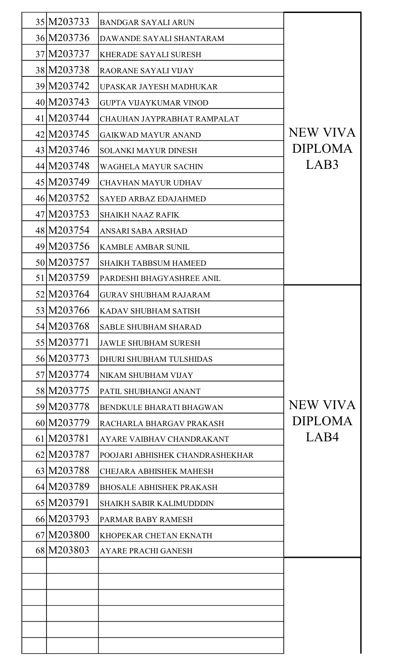| 35 M203733  | <b>BANDGAR SAYALI ARUN</b>      |                 |
|-------------|---------------------------------|-----------------|
| 36 M203736  | DAWANDE SAYALI SHANTARAM        |                 |
| 37 M203737  | <b>KHERADE SAYALI SURESH</b>    |                 |
| 38 M203738  | <b>RAORANE SAYALI VIJAY</b>     |                 |
| 39 M203742  | UPASKAR JAYESH MADHUKAR         |                 |
| 40 M203743  | <b>GUPTA VIJAYKUMAR VINOD</b>   |                 |
| 41 M203744  | CHAUHAN JAYPRABHAT RAMPALAT     |                 |
| 42 M203745  | <b>GAIKWAD MAYUR ANAND</b>      | <b>NEW VIVA</b> |
| 43 M203746  | <b>SOLANKI MAYUR DINESH</b>     | <b>DIPLOMA</b>  |
| 44 M203748  | WAGHELA MAYUR SACHIN            | LAB3            |
| 45 M203749  | <b>CHAVHAN MAYUR UDHAV</b>      |                 |
| 46 M203752  | <b>SAYED ARBAZ EDAJAHMED</b>    |                 |
| 47 M203753  | <b>SHAIKH NAAZ RAFIK</b>        |                 |
| 48 M203754  | ANSARI SABA ARSHAD              |                 |
| 49 M203756  | <b>KAMBLE AMBAR SUNIL</b>       |                 |
| 50 M203757  | <b>SHAIKH TABBSUM HAMEED</b>    |                 |
| 51 M203759  | PARDESHI BHAGYASHREE ANIL       |                 |
| 52 M203764  | <b>GURAV SHUBHAM RAJARAM</b>    |                 |
| 53 M203766  | <b>KADAV SHUBHAM SATISH</b>     |                 |
| 54 M203768  | <b>SABLE SHUBHAM SHARAD</b>     |                 |
| 55 M203771  | <b>JAWLE SHUBHAM SURESH</b>     |                 |
| 56 M203773  | <b>DHURI SHUBHAM TULSHIDAS</b>  |                 |
| 57 M203774  | NIKAM SHUBHAM VIJAY             |                 |
| 58 M 203775 | PATIL SHUBHANGI ANANT           |                 |
| 59 M203778  | <b>BENDKULE BHARATI BHAGWAN</b> | <b>NEW VIVA</b> |
| 60 M203779  | RACHARLA BHARGAV PRAKASH        | <b>DIPLOMA</b>  |
| 61 M203781  | AYARE VAIBHAV CHANDRAKANT       | LAB4            |
| 62 M203787  | POOJARI ABHISHEK CHANDRASHEKHAR |                 |
| 63 M203788  | <b>CHEJARA ABHISHEK MAHESH</b>  |                 |
| 64 M203789  | <b>BHOSALE ABHISHEK PRAKASH</b> |                 |
| 65 M203791  | <b>SHAIKH SABIR KALIMUDDDIN</b> |                 |
| 66 M203793  | PARMAR BABY RAMESH              |                 |
| 67 M203800  | KHOPEKAR CHETAN EKNATH          |                 |
| 68 M203803  | <b>AYARE PRACHI GANESH</b>      |                 |
|             |                                 |                 |
|             |                                 |                 |
|             |                                 |                 |
|             |                                 |                 |
|             |                                 |                 |
|             |                                 |                 |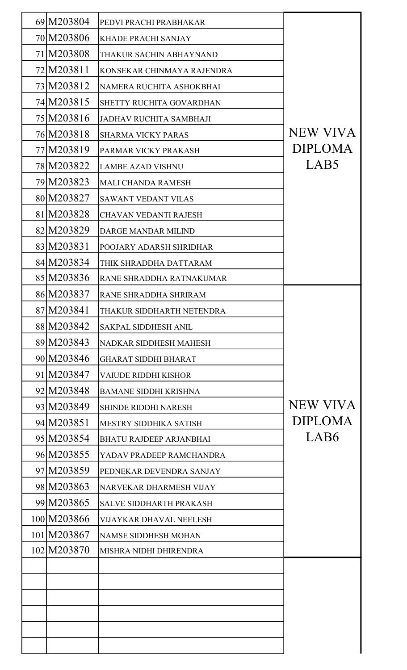| 69 M203804  | PEDVI PRACHI PRABHAKAR         |                  |
|-------------|--------------------------------|------------------|
| 70 M203806  | KHADE PRACHI SANJAY            |                  |
| 71 M203808  | THAKUR SACHIN ABHAYNAND        |                  |
| 72 M203811  | KONSEKAR CHINMAYA RAJENDRA     |                  |
| 73 M203812  | NAMERA RUCHITA ASHOKBHAI       |                  |
| 74 M203815  | SHETTY RUCHITA GOVARDHAN       |                  |
| 75 M203816  | <b>JADHAV RUCHITA SAMBHAJI</b> |                  |
| 76 M203818  | <b>SHARMA VICKY PARAS</b>      | <b>NEW VIVA</b>  |
| 77 M203819  | PARMAR VICKY PRAKASH           | <b>DIPLOMA</b>   |
| 78 M203822  | <b>LAMBE AZAD VISHNU</b>       | LAB <sub>5</sub> |
| 79 M203823  | <b>MALI CHANDA RAMESH</b>      |                  |
| 80 M203827  | <b>SAWANT VEDANT VILAS</b>     |                  |
| 81 M203828  | <b>CHAVAN VEDANTI RAJESH</b>   |                  |
| 82 M203829  | <b>DARGE MANDAR MILIND</b>     |                  |
| 83 M203831  | POOJARY ADARSH SHRIDHAR        |                  |
| 84 M203834  | THIK SHRADDHA DATTARAM         |                  |
| 85 M203836  | RANE SHRADDHA RATNAKUMAR       |                  |
| 86 M203837  | RANE SHRADDHA SHRIRAM          |                  |
| 87 M203841  | THAKUR SIDDHARTH NETENDRA      |                  |
| 88 M 203842 | <b>SAKPAL SIDDHESH ANIL</b>    |                  |
| 89 M203843  | <b>NADKAR SIDDHESH MAHESH</b>  |                  |
| 90 M203846  | <b>GHARAT SIDDHI BHARAT</b>    |                  |
| 91 M203847  | <b>VAIUDE RIDDHI KISHOR</b>    |                  |
| 92 M203848  | <b>BAMANE SIDDHI KRISHNA</b>   |                  |
| 93 M203849  | <b>SHINDE RIDDHI NARESH</b>    | <b>NEW VIVA</b>  |
| 94 M203851  | <b>MESTRY SIDDHIKA SATISH</b>  | <b>DIPLOMA</b>   |
| 95 M203854  | <b>BHATU RAJDEEP ARJANBHAI</b> | LAB6             |
| 96 M203855  | YADAV PRADEEP RAMCHANDRA       |                  |
| 97 M203859  | PEDNEKAR DEVENDRA SANJAY       |                  |
| 98 M203863  | NARVEKAR DHARMESH VIJAY        |                  |
| 99 M203865  | <b>SALVE SIDDHARTH PRAKASH</b> |                  |
| 100 M203866 | <b>VIJAYKAR DHAVAL NEELESH</b> |                  |
| 101 M203867 | <b>NAMSE SIDDHESH MOHAN</b>    |                  |
| 102 M203870 | MISHRA NIDHI DHIRENDRA         |                  |
|             |                                |                  |
|             |                                |                  |
|             |                                |                  |
|             |                                |                  |
|             |                                |                  |
|             |                                |                  |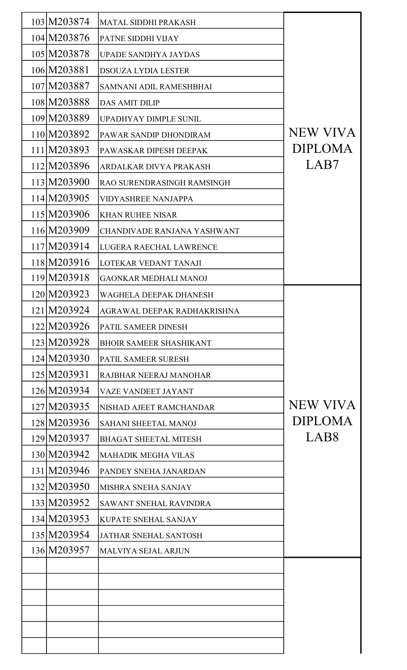| 103 M203874 | MATAL SIDDHI PRAKASH           |                  |
|-------------|--------------------------------|------------------|
| 104 M203876 | PATNE SIDDHI VIJAY             |                  |
| 105 M203878 | <b>UPADE SANDHYA JAYDAS</b>    |                  |
| 106 M203881 | <b>DSOUZA LYDIA LESTER</b>     |                  |
| 107 M203887 | SAMNANI ADIL RAMESHBHAI        |                  |
| 108 M203888 | <b>DAS AMIT DILIP</b>          |                  |
| 109 M203889 | UPADHYAY DIMPLE SUNIL          |                  |
| 110 M203892 | PAWAR SANDIP DHONDIRAM         | <b>NEW VIVA</b>  |
| 111 M203893 | PAWASKAR DIPESH DEEPAK         | <b>DIPLOMA</b>   |
| 112 M203896 | ARDALKAR DIVYA PRAKASH         | LAB7             |
| 113 M203900 | RAO SURENDRASINGH RAMSINGH     |                  |
| 114 M203905 | <b>VIDYASHREE NANJAPPA</b>     |                  |
| 115 M203906 | <b>KHAN RUHEE NISAR</b>        |                  |
| 116 M203909 | CHANDIVADE RANJANA YASHWANT    |                  |
| 117 M203914 | LUGERA RAECHAL LAWRENCE        |                  |
| 118 M203916 | LOTEKAR VEDANT TANAJI          |                  |
| 119 M203918 | <b>GAONKAR MEDHALI MANOJ</b>   |                  |
| 120 M203923 | <b>WAGHELA DEEPAK DHANESH</b>  |                  |
| 121 M203924 | AGRAWAL DEEPAK RADHAKRISHNA    |                  |
| 122 M203926 | PATIL SAMEER DINESH            |                  |
| 123 M203928 | <b>BHOIR SAMEER SHASHIKANT</b> |                  |
| 124 M203930 | PATIL SAMEER SURESH            |                  |
| 125 M203931 | RAJBHAR NEERAJ MANOHAR         |                  |
| 126 M203934 | <b>VAZE VANDEET JAYANT</b>     |                  |
| 127 M203935 | NISHAD AJEET RAMCHANDAR        | <b>NEW VIVA</b>  |
| 128 M203936 | <b>SAHANI SHEETAL MANOJ</b>    | <b>DIPLOMA</b>   |
| 129 M203937 | <b>BHAGAT SHEETAL MITESH</b>   | LAB <sub>8</sub> |
| 130 M203942 | <b>MAHADIK MEGHA VILAS</b>     |                  |
| 131 M203946 | PANDEY SNEHA JANARDAN          |                  |
| 132 M203950 | MISHRA SNEHA SANJAY            |                  |
| 133 M203952 | <b>SAWANT SNEHAL RAVINDRA</b>  |                  |
| 134 M203953 | <b>KUPATE SNEHAL SANJAY</b>    |                  |
| 135 M203954 | <b>JATHAR SNEHAL SANTOSH</b>   |                  |
| 136 M203957 | <b>MALVIYA SEJAL ARJUN</b>     |                  |
|             |                                |                  |
|             |                                |                  |
|             |                                |                  |
|             |                                |                  |
|             |                                |                  |
|             |                                |                  |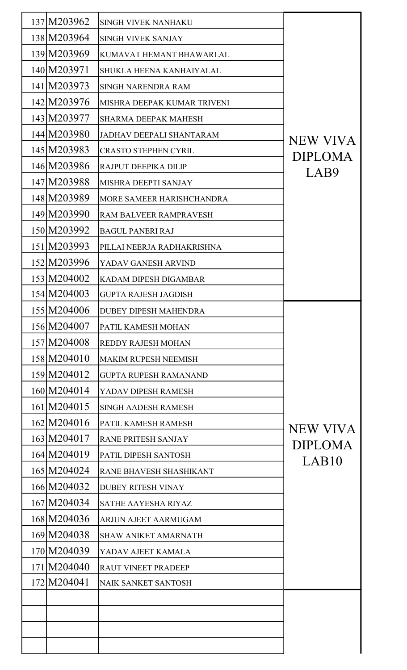| 137 M203962 | <b>SINGH VIVEK NANHAKU</b>      |                 |
|-------------|---------------------------------|-----------------|
| 138 M203964 | <b>SINGH VIVEK SANJAY</b>       |                 |
| 139 M203969 | KUMAVAT HEMANT BHAWARLAL        |                 |
| 140 M203971 | SHUKLA HEENA KANHAIYALAL        |                 |
| 141 M203973 | SINGH NARENDRA RAM              |                 |
| 142 M203976 | MISHRA DEEPAK KUMAR TRIVENI     |                 |
| 143 M203977 | <b>SHARMA DEEPAK MAHESH</b>     |                 |
| 144 M203980 | <b>JADHAV DEEPALI SHANTARAM</b> | <b>NEW VIVA</b> |
| 145 M203983 | <b>CRASTO STEPHEN CYRIL</b>     | <b>DIPLOMA</b>  |
| 146 M203986 | RAJPUT DEEPIKA DILIP            | LAB9            |
| 147 M203988 | MISHRA DEEPTI SANJAY            |                 |
| 148 M203989 | MORE SAMEER HARISHCHANDRA       |                 |
| 149 M203990 | RAM BALVEER RAMPRAVESH          |                 |
| 150 M203992 | <b>BAGUL PANERI RAJ</b>         |                 |
| 151 M203993 | PILLAI NEERJA RADHAKRISHNA      |                 |
| 152 M203996 | YADAV GANESH ARVIND             |                 |
| 153 M204002 | <b>KADAM DIPESH DIGAMBAR</b>    |                 |
| 154 M204003 | <b>GUPTA RAJESH JAGDISH</b>     |                 |
| 155 M204006 | <b>DUBEY DIPESH MAHENDRA</b>    |                 |
| 156 M204007 | PATIL KAMESH MOHAN              |                 |
| 157 M204008 | <b>REDDY RAJESH MOHAN</b>       |                 |
| 158 M204010 | <b>MAKIM RUPESH NEEMISH</b>     |                 |
| 159 M204012 | <b>GUPTA RUPESH RAMANAND</b>    |                 |
| 160 M204014 | YADAV DIPESH RAMESH             |                 |
| 161 M204015 | <b>SINGH AADESH RAMESH</b>      |                 |
| 162 M204016 | PATIL KAMESH RAMESH             | <b>NEW VIVA</b> |
| 163 M204017 | <b>RANE PRITESH SANJAY</b>      | <b>DIPLOMA</b>  |
| 164 M204019 | PATIL DIPESH SANTOSH            | LAB10           |
| 165 M204024 | RANE BHAVESH SHASHIKANT         |                 |
| 166 M204032 | <b>DUBEY RITESH VINAY</b>       |                 |
| 167 M204034 | <b>SATHE AAYESHA RIYAZ</b>      |                 |
| 168 M204036 | ARJUN AJEET AARMUGAM            |                 |
| 169 M204038 | <b>SHAW ANIKET AMARNATH</b>     |                 |
| 170 M204039 | YADAV AJEET KAMALA              |                 |
| 171 M204040 | <b>RAUT VINEET PRADEEP</b>      |                 |
| 172 M204041 | <b>NAIK SANKET SANTOSH</b>      |                 |
|             |                                 |                 |
|             |                                 |                 |
|             |                                 |                 |
|             |                                 |                 |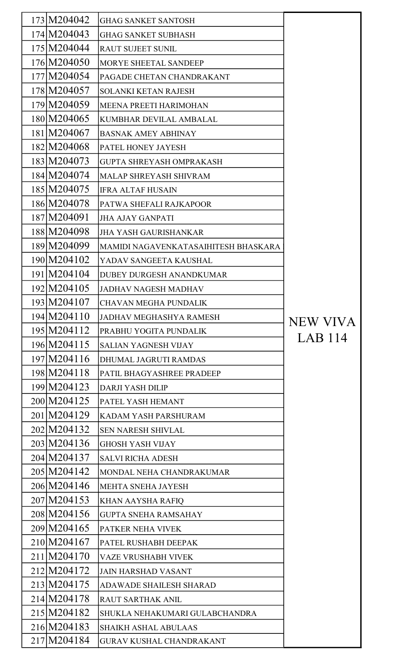| 173 M204042  | <b>GHAG SANKET SANTOSH</b>           |          |
|--------------|--------------------------------------|----------|
| 174 M204043  | <b>GHAG SANKET SUBHASH</b>           |          |
| 175 M204044  | <b>RAUT SUJEET SUNIL</b>             |          |
| 176 M204050  | <b>MORYE SHEETAL SANDEEP</b>         |          |
| 177 M204054  | PAGADE CHETAN CHANDRAKANT            |          |
| 178 M 204057 | <b>SOLANKI KETAN RAJESH</b>          |          |
| 179 M204059  | <b>MEENA PREETI HARIMOHAN</b>        |          |
| 180 M204065  | KUMBHAR DEVILAL AMBALAL              |          |
| 181 M204067  | <b>BASNAK AMEY ABHINAY</b>           |          |
| 182M204068   | PATEL HONEY JAYESH                   |          |
| 183 M204073  | <b>GUPTA SHREYASH OMPRAKASH</b>      |          |
| 184 M204074  | <b>MALAP SHREYASH SHIVRAM</b>        |          |
| 185 M204075  | <b>IFRA ALTAF HUSAIN</b>             |          |
| 186 M204078  | PATWA SHEFALI RAJKAPOOR              |          |
| 187 M204091  | <b>JHA AJAY GANPATI</b>              |          |
| 188 M204098  | <b>JHA YASH GAURISHANKAR</b>         |          |
| 189 M204099  | MAMIDI NAGAVENKATASAIHITESH BHASKARA |          |
| 190 M204102  | YADAV SANGEETA KAUSHAL               |          |
| 191 M204104  | DUBEY DURGESH ANANDKUMAR             |          |
| 192M204105   | <b>JADHAV NAGESH MADHAV</b>          |          |
| 193 M204107  | <b>CHAVAN MEGHA PUNDALIK</b>         |          |
| 194 M204110  | <b>JADHAV MEGHASHYA RAMESH</b>       | NEW VIVA |
| 195 M204112  | PRABHU YOGITA PUNDALIK               |          |
| 196 M204115  | <b>SALIAN YAGNESH VIJAY</b>          | LAB 114  |
| 197 M204116  | <b>DHUMAL JAGRUTI RAMDAS</b>         |          |
| 198 M204118  | PATIL BHAGYASHREE PRADEEP            |          |
| 199 M204123  | <b>DARJI YASH DILIP</b>              |          |
| 200 M204125  | PATEL YASH HEMANT                    |          |
| 201 M204129  | KADAM YASH PARSHURAM                 |          |
| 202 M204132  | <b>SEN NARESH SHIVLAL</b>            |          |
| 203 M204136  | <b>GHOSH YASH VIJAY</b>              |          |
| 204 M204137  | <b>SALVI RICHA ADESH</b>             |          |
| 205 M204142  | MONDAL NEHA CHANDRAKUMAR             |          |
| 206 M204146  | <b>MEHTA SNEHA JAYESH</b>            |          |
| 207 M204153  | <b>KHAN AAYSHA RAFIQ</b>             |          |
| 208 M204156  | <b>GUPTA SNEHA RAMSAHAY</b>          |          |
| 209 M204165  | PATKER NEHA VIVEK                    |          |
| 210 M204167  | PATEL RUSHABH DEEPAK                 |          |
| 211 M204170  | <b>VAZE VRUSHABH VIVEK</b>           |          |
| 212 M204172  | <b>JAIN HARSHAD VASANT</b>           |          |
| 213 M204175  | ADAWADE SHAILESH SHARAD              |          |
| 214 M204178  | RAUT SARTHAK ANIL                    |          |
| 215 M204182  | SHUKLA NEHAKUMARI GULABCHANDRA       |          |
| 216 M204183  | <b>SHAIKH ASHAL ABULAAS</b>          |          |
| 217 M204184  | <b>GURAV KUSHAL CHANDRAKANT</b>      |          |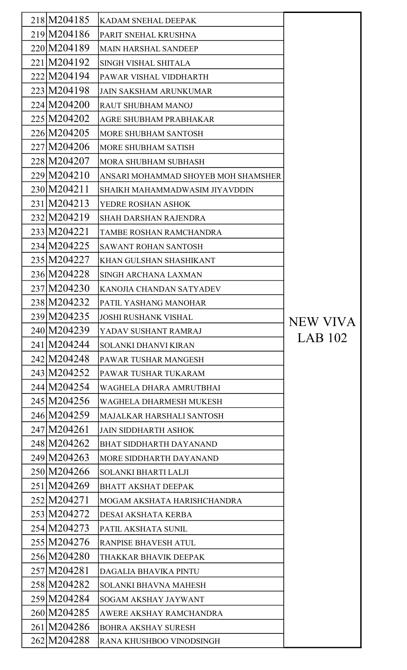| 218 M 204185 | KADAM SNEHAL DEEPAK                 |          |
|--------------|-------------------------------------|----------|
| 219 M204186  | PARIT SNEHAL KRUSHNA                |          |
| 220 M204189  | <b>MAIN HARSHAL SANDEEP</b>         |          |
| 221 M204192  | <b>SINGH VISHAL SHITALA</b>         |          |
| 222 M204194  | PAWAR VISHAL VIDDHARTH              |          |
| 223 M204198  | <b>JAIN SAKSHAM ARUNKUMAR</b>       |          |
| 224 M204200  | RAUT SHUBHAM MANOJ                  |          |
| 225 M204202  | AGRE SHUBHAM PRABHAKAR              |          |
| 226 M204205  | <b>MORE SHUBHAM SANTOSH</b>         |          |
| 227 M204206  | <b>MORE SHUBHAM SATISH</b>          |          |
| 228 M204207  | <b>MORA SHUBHAM SUBHASH</b>         |          |
| 229 M204210  | ANSARI MOHAMMAD SHOYEB MOH SHAMSHER |          |
| 230 M204211  | SHAIKH MAHAMMADWASIM JIYAVDDIN      |          |
| 231 M204213  | YEDRE ROSHAN ASHOK                  |          |
| 232 M204219  | <b>SHAH DARSHAN RAJENDRA</b>        |          |
| 233 M204221  | TAMBE ROSHAN RAMCHANDRA             |          |
| 234 M204225  | <b>SAWANT ROHAN SANTOSH</b>         |          |
| 235 M204227  | KHAN GULSHAN SHASHIKANT             |          |
| 236 M204228  | <b>SINGH ARCHANA LAXMAN</b>         |          |
| 237 M204230  | KANOJIA CHANDAN SATYADEV            |          |
| 238 M204232  | PATIL YASHANG MANOHAR               |          |
| 239 M204235  | <b>JOSHI RUSHANK VISHAL</b>         | NEW VIVA |
| 240 M204239  | YADAV SUSHANT RAMRAJ                |          |
| 241 M204244  | <b>SOLANKI DHANVI KIRAN</b>         | LAB 102  |
| 242 M204248  | PAWAR TUSHAR MANGESH                |          |
| 243 M204252  | PAWAR TUSHAR TUKARAM                |          |
| 244 M204254  | WAGHELA DHARA AMRUTBHAI             |          |
| 245 M204256  | WAGHELA DHARMESH MUKESH             |          |
| 246 M204259  | MAJALKAR HARSHALI SANTOSH           |          |
| 247 M204261  | <b>JAIN SIDDHARTH ASHOK</b>         |          |
| 248 M204262  | <b>BHAT SIDDHARTH DAYANAND</b>      |          |
| 249 M204263  | MORE SIDDHARTH DAYANAND             |          |
| 250 M204266  | <b>SOLANKI BHARTI LALJI</b>         |          |
| 251 M204269  | <b>BHATT AKSHAT DEEPAK</b>          |          |
| 252 M204271  | MOGAM AKSHATA HARISHCHANDRA         |          |
| 253 M204272  | DESAI AKSHATA KERBA                 |          |
| 254 M204273  | PATIL AKSHATA SUNIL                 |          |
| 255 M204276  | RANPISE BHAVESH ATUL                |          |
| 256 M204280  | THAKKAR BHAVIK DEEPAK               |          |
| 257 M204281  | DAGALIA BHAVIKA PINTU               |          |
| 258 M204282  | <b>SOLANKI BHAVNA MAHESH</b>        |          |
| 259 M204284  | <b>SOGAM AKSHAY JAYWANT</b>         |          |
| 260 M204285  | AWERE AKSHAY RAMCHANDRA             |          |
| 261 M204286  | <b>BOHRA AKSHAY SURESH</b>          |          |
| 262 M204288  | RANA KHUSHBOO VINODSINGH            |          |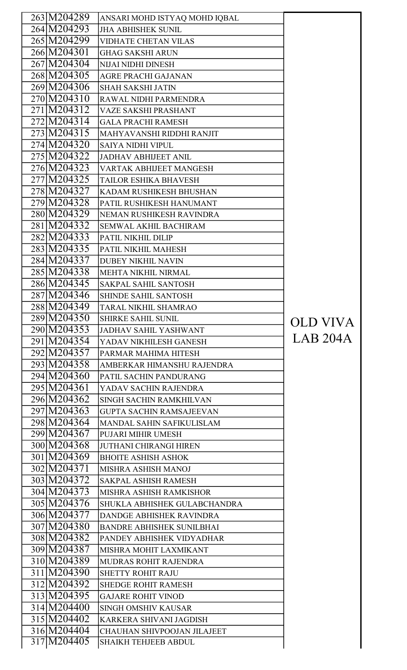| 263 M204289                |                                                          |          |
|----------------------------|----------------------------------------------------------|----------|
| 264 M204293                | ANSARI MOHD ISTYAQ MOHD IQBAL                            |          |
| 265 M204299                | <b>JHA ABHISHEK SUNIL</b><br><b>VIDHATE CHETAN VILAS</b> |          |
| 266 M204301                | <b>GHAG SAKSHI ARUN</b>                                  |          |
| 267 M204304                | <b>NIJAI NIDHI DINESH</b>                                |          |
| 268 M204305                |                                                          |          |
| 269 M204306                | <b>AGRE PRACHI GAJANAN</b>                               |          |
| 270 M204310                | <b>SHAH SAKSHI JATIN</b>                                 |          |
|                            | RAWAL NIDHI PARMENDRA                                    |          |
| 271 M204312<br>272 M204314 | <b>VAZE SAKSHI PRASHANT</b>                              |          |
|                            | <b>GALA PRACHI RAMESH</b>                                |          |
| $273$ M204315              | MAHYAVANSHI RIDDHI RANJIT                                |          |
| 274 M204320                | <b>SAIYA NIDHI VIPUL</b>                                 |          |
| 275 M204322                | <b>JADHAV ABHIJEET ANIL</b>                              |          |
| 276 M204323                | <b>VARTAK ABHIJEET MANGESH</b>                           |          |
| 277 M204325                | <b>TAILOR ESHIKA BHAVESH</b>                             |          |
| 278 M204327                | KADAM RUSHIKESH BHUSHAN                                  |          |
| 279 M204328                | PATIL RUSHIKESH HANUMANT                                 |          |
| 280 M204329                | NEMAN RUSHIKESH RAVINDRA                                 |          |
| 281 M204332                | <b>SEMWAL AKHIL BACHIRAM</b>                             |          |
| 282 M204333                | PATIL NIKHIL DILIP                                       |          |
| 283 M204335                | PATIL NIKHIL MAHESH                                      |          |
| 284 M204337                | <b>DUBEY NIKHIL NAVIN</b>                                |          |
| 285 M204338                | MEHTA NIKHIL NIRMAL                                      |          |
| 286 M204345                | <b>SAKPAL SAHIL SANTOSH</b>                              |          |
| 287 M204346                | <b>SHINDE SAHIL SANTOSH</b>                              |          |
| 288 M204349                | TARAL NIKHIL SHAMRAO                                     |          |
| 289 M204350                | <b>SHIRKE SAHIL SUNIL</b>                                | OLD VIVA |
| 290 M204353                | <b>JADHAV SAHIL YASHWANT</b>                             |          |
|                            |                                                          |          |
| 291 M204354                | YADAV NIKHILESH GANESH                                   | LAB 204A |
| 292 M204357                | PARMAR MAHIMA HITESH                                     |          |
| 293 M204358                | AMBERKAR HIMANSHU RAJENDRA                               |          |
| 294 M204360                | PATIL SACHIN PANDURANG                                   |          |
| 295 M204361                | YADAV SACHIN RAJENDRA                                    |          |
| 296 M204362                | <b>SINGH SACHIN RAMKHILVAN</b>                           |          |
| 297 M204363                | <b>GUPTA SACHIN RAMSAJEEVAN</b>                          |          |
| 298 M204364                | MANDAL SAHIN SAFIKULISLAM                                |          |
| 299 M204367                | PUJARI MIHIR UMESH                                       |          |
| 300 M204368                | <b>JUTHANI CHIRANGI HIREN</b>                            |          |
| 301 M204369                | <b>BHOITE ASHISH ASHOK</b>                               |          |
| 302 M204371                | <b>MISHRA ASHISH MANOJ</b>                               |          |
| 303 M204372                | <b>SAKPAL ASHISH RAMESH</b>                              |          |
| 304 M204373                | <b>MISHRA ASHISH RAMKISHOR</b>                           |          |
| 305 M204376                | SHUKLA ABHISHEK GULABCHANDRA                             |          |
| 306 M204377                | <b>DANDGE ABHISHEK RAVINDRA</b>                          |          |
| 307 M204380                | <b>BANDRE ABHISHEK SUNILBHAI</b>                         |          |
| 308 M204382                | PANDEY ABHISHEK VIDYADHAR                                |          |
| 309 M204387                | MISHRA MOHIT LAXMIKANT                                   |          |
| 310 M204389                | MUDRAS ROHIT RAJENDRA                                    |          |
| 311 M204390                | <b>SHETTY ROHIT RAJU</b>                                 |          |
| 312 M204392                | <b>SHEDGE ROHIT RAMESH</b>                               |          |
| 313 M204395                | <b>GAJARE ROHIT VINOD</b>                                |          |
| 314 M204400                | <b>SINGH OMSHIV KAUSAR</b>                               |          |
| 315 M204402                | KARKERA SHIVANI JAGDISH                                  |          |
| 316 M204404<br>317 M204405 | CHAUHAN SHIVPOOJAN JILAJEET                              |          |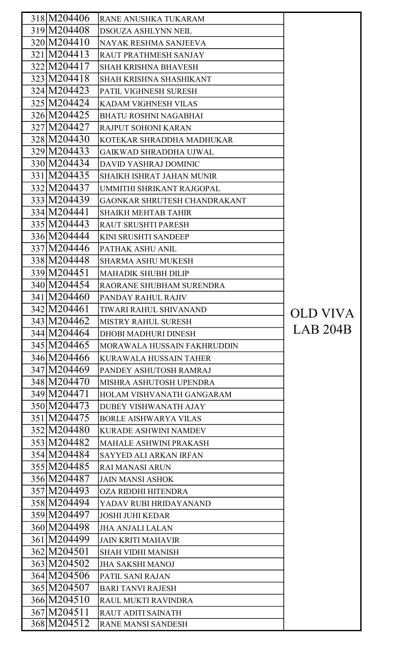| 318 M204406 | RANE ANUSHKA TUKARAM                            |                 |
|-------------|-------------------------------------------------|-----------------|
| 319 M204408 | <b>DSOUZA ASHLYNN NEIL</b>                      |                 |
| 320 M204410 | NAYAK RESHMA SANJEEVA                           |                 |
| 321 M204413 | RAUT PRATHMESH SANJAY                           |                 |
| 322 M204417 | <b>SHAH KRISHNA BHAVESH</b>                     |                 |
| 323 M204418 | <b>SHAH KRISHNA SHASHIKANT</b>                  |                 |
| 324 M204423 | PATIL VIGHNESH SURESH                           |                 |
| 325 M204424 | <b>KADAM VIGHNESH VILAS</b>                     |                 |
| 326 M204425 | <b>BHATU ROSHNI NAGABHAI</b>                    |                 |
| 327 M204427 | RAJPUT SOHONI KARAN                             |                 |
| 328 M204430 | KOTEKAR SHRADDHA MADHUKAR                       |                 |
| 329 M204433 | <b>GAIKWAD SHRADDHA UJWAL</b>                   |                 |
| 330 M204434 | <b>DAVID YASHRAJ DOMINIC</b>                    |                 |
| 331 M204435 | <b>SHAIKH ISHRAT JAHAN MUNIR</b>                |                 |
| 332 M204437 | UMMITHI SHRIKANT RAJGOPAL                       |                 |
| 333 M204439 | GAONKAR SHRUTESH CHANDRAKANT                    |                 |
| 334 M204441 | <b>SHAIKH MEHTAB TAHIR</b>                      |                 |
| 335 M204443 | RAUT SRUSHTI PARESH                             |                 |
| 336 M204444 | KINI SRUSHTI SANDEEP                            |                 |
| 337 M204446 | PATHAK ASHU ANIL                                |                 |
| 338 M204448 | <b>SHARMA ASHU MUKESH</b>                       |                 |
| 339 M204451 | <b>MAHADIK SHUBH DILIP</b>                      |                 |
| 340 M204454 | RAORANE SHUBHAM SURENDRA                        |                 |
| 341 M204460 | PANDAY RAHUL RAJIV                              |                 |
| 342 M204461 | TIWARI RAHUL SHIVANAND                          | <b>OLD VIVA</b> |
| 343 M204462 | MISTRY RAHUL SURESH                             |                 |
| 344 M204464 | <b>DHOBI MADHURI DINESH</b>                     | LAB 204B        |
| 345 M204465 | MORAWALA HUSSAIN FAKHRUDDIN                     |                 |
| 346 M204466 | KURAWALA HUSSAIN TAHER                          |                 |
| 347 M204469 | PANDEY ASHUTOSH RAMRAJ                          |                 |
| 348 M204470 | MISHRA ASHUTOSH UPENDRA                         |                 |
| 349 M204471 | HOLAM VISHVANATH GANGARAM                       |                 |
| 350 M204473 | DUBEY VISHWANATH AJAY                           |                 |
| 351 M204475 | <b>BORLE AISHWARYA VILAS</b>                    |                 |
| 352 M204480 | <b>KURADE ASHWINI NAMDEV</b>                    |                 |
| 353 M204482 | <b>MAHALE ASHWINI PRAKASH</b>                   |                 |
| 354 M204484 | <b>SAYYED ALI ARKAN IRFAN</b>                   |                 |
| 355 M204485 | <b>RAI MANASI ARUN</b>                          |                 |
| 356 M204487 | <b>JAIN MANSI ASHOK</b>                         |                 |
| 357 M204493 | OZA RIDDHI HITENDRA                             |                 |
| 358 M204494 | YADAV RUBI HRIDAYANAND                          |                 |
| 359 M204497 | <b>JOSHI JUHI KEDAR</b>                         |                 |
| 360 M204498 | <b>JHA ANJALI LALAN</b>                         |                 |
| 361 M204499 | <b>JAIN KRITI MAHAVIR</b>                       |                 |
| 362 M204501 | <b>SHAH VIDHI MANISH</b>                        |                 |
| 363 M204502 | <b>JHA SAKSHI MANOJ</b>                         |                 |
| 364 M204506 | PATIL SANI RAJAN                                |                 |
| 365 M204507 | <b>BARI TANVI RAJESH</b>                        |                 |
| 366 M204510 | RAUL MUKTI RAVINDRA                             |                 |
| 367 M204511 |                                                 |                 |
| 368 M204512 | RAUT ADITI SAINATH<br><b>RANE MANSI SANDESH</b> |                 |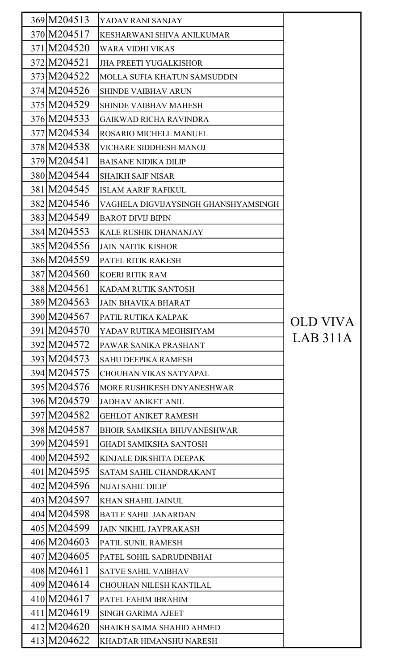| 369 M204513 | YADAV RANI SANJAY                    |          |
|-------------|--------------------------------------|----------|
| 370 M204517 | KESHARWANI SHIVA ANILKUMAR           |          |
| 371 M204520 | <b>WARA VIDHI VIKAS</b>              |          |
| 372 M204521 | <b>JHA PREETI YUGALKISHOR</b>        |          |
| 373 M204522 | <b>MOLLA SUFIA KHATUN SAMSUDDIN</b>  |          |
| 374 M204526 | <b>SHINDE VAIBHAV ARUN</b>           |          |
| 375 M204529 | <b>SHINDE VAIBHAV MAHESH</b>         |          |
| 376 M204533 | <b>GAIKWAD RICHA RAVINDRA</b>        |          |
| 377 M204534 | ROSARIO MICHELL MANUEL               |          |
| 378 M204538 | <b>VICHARE SIDDHESH MANOJ</b>        |          |
| 379 M204541 | <b>BAISANE NIDIKA DILIP</b>          |          |
| 380 M204544 | <b>SHAIKH SAIF NISAR</b>             |          |
| 381 M204545 | <b>ISLAM AARIF RAFIKUL</b>           |          |
| 382 M204546 | VAGHELA DIGVIJAYSINGH GHANSHYAMSINGH |          |
| 383 M204549 | <b>BAROT DIVIJ BIPIN</b>             |          |
| 384 M204553 | <b>KALE RUSHIK DHANANJAY</b>         |          |
| 385 M204556 | <b>JAIN NAITIK KISHOR</b>            |          |
| 386 M204559 | PATEL RITIK RAKESH                   |          |
| 387 M204560 | <b>KOERI RITIK RAM</b>               |          |
| 388 M204561 | <b>KADAM RUTIK SANTOSH</b>           |          |
| 389 M204563 | <b>JAIN BHAVIKA BHARAT</b>           |          |
| 390 M204567 | PATIL RUTIKA KALPAK                  | OLD VIVA |
| 391 M204570 | YADAV RUTIKA MEGHSHYAM               |          |
| 392 M204572 | PAWAR SANIKA PRASHANT                | LAB 311A |
| 393 M204573 | <b>SAHU DEEPIKA RAMESH</b>           |          |
| 394 M204575 | <b>CHOUHAN VIKAS SATYAPAL</b>        |          |
| 395 M204576 | MORE RUSHIKESH DNYANESHWAR           |          |
| 396 M204579 | <b>JADHAV ANIKET ANIL</b>            |          |
| 397 M204582 | <b>GEHLOT ANIKET RAMESH</b>          |          |
| 398 M204587 | <b>BHOIR SAMIKSHA BHUVANESHWAR</b>   |          |
| 399 M204591 | <b>GHADI SAMIKSHA SANTOSH</b>        |          |
| 400 M204592 | KINJALE DIKSHITA DEEPAK              |          |
| 401 M204595 | SATAM SAHIL CHANDRAKANT              |          |
| 402 M204596 | <b>NIJAI SAHIL DILIP</b>             |          |
| 403 M204597 | <b>KHAN SHAHIL JAINUL</b>            |          |
| 404 M204598 | <b>BATLE SAHIL JANARDAN</b>          |          |
| 405 M204599 | <b>JAIN NIKHIL JAYPRAKASH</b>        |          |
| 406 M204603 | PATIL SUNIL RAMESH                   |          |
| 407 M204605 | PATEL SOHIL SADRUDINBHAI             |          |
| 408 M204611 | <b>SATVE SAHIL VAIBHAV</b>           |          |
| 409 M204614 | <b>CHOUHAN NILESH KANTILAL</b>       |          |
| 410 M204617 | PATEL FAHIM IBRAHIM                  |          |
| 411 M204619 | <b>SINGH GARIMA AJEET</b>            |          |
| 412 M204620 | <b>SHAIKH SAIMA SHAHID AHMED</b>     |          |
| 413 M204622 | KHADTAR HIMANSHU NARESH              |          |